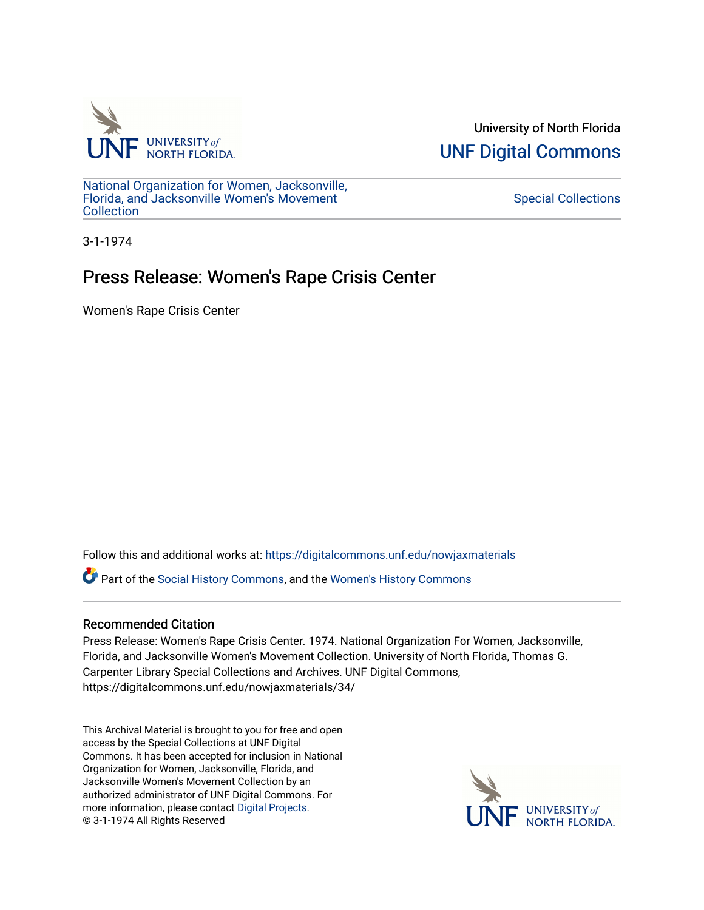

University of North Florida [UNF Digital Commons](https://digitalcommons.unf.edu/) 

[National Organization for Women, Jacksonville,](https://digitalcommons.unf.edu/nowjaxmaterials) [Florida, and Jacksonville Women's Movement](https://digitalcommons.unf.edu/nowjaxmaterials) **Collection** 

[Special Collections](https://digitalcommons.unf.edu/special_collections) 

3-1-1974

## Press Release: Women's Rape Crisis Center

Women's Rape Crisis Center

Follow this and additional works at: [https://digitalcommons.unf.edu/nowjaxmaterials](https://digitalcommons.unf.edu/nowjaxmaterials?utm_source=digitalcommons.unf.edu%2Fnowjaxmaterials%2F34&utm_medium=PDF&utm_campaign=PDFCoverPages) 

Part of the [Social History Commons](http://network.bepress.com/hgg/discipline/506?utm_source=digitalcommons.unf.edu%2Fnowjaxmaterials%2F34&utm_medium=PDF&utm_campaign=PDFCoverPages), and the [Women's History Commons](http://network.bepress.com/hgg/discipline/507?utm_source=digitalcommons.unf.edu%2Fnowjaxmaterials%2F34&utm_medium=PDF&utm_campaign=PDFCoverPages)

## Recommended Citation

Press Release: Women's Rape Crisis Center. 1974. National Organization For Women, Jacksonville, Florida, and Jacksonville Women's Movement Collection. University of North Florida, Thomas G. Carpenter Library Special Collections and Archives. UNF Digital Commons, https://digitalcommons.unf.edu/nowjaxmaterials/34/

This Archival Material is brought to you for free and open access by the Special Collections at UNF Digital Commons. It has been accepted for inclusion in National Organization for Women, Jacksonville, Florida, and Jacksonville Women's Movement Collection by an authorized administrator of UNF Digital Commons. For more information, please contact [Digital Projects](mailto:lib-digital@unf.edu). © 3-1-1974 All Rights Reserved